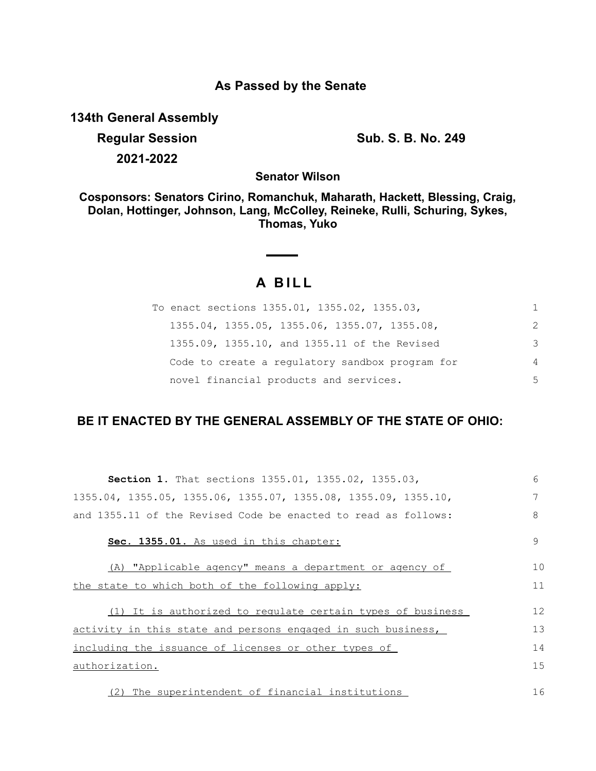## **As Passed by the Senate**

**134th General Assembly**

**Regular Session Sub. S. B. No. 249 2021-2022**

**Senator Wilson**

**Cosponsors: Senators Cirino, Romanchuk, Maharath, Hackett, Blessing, Craig, Dolan, Hottinger, Johnson, Lang, McColley, Reineke, Rulli, Schuring, Sykes, Thomas, Yuko**

## **A B I L L**

| To enact sections 1355.01, 1355.02, 1355.03,    | 1              |
|-------------------------------------------------|----------------|
| 1355.04, 1355.05, 1355.06, 1355.07, 1355.08,    | 2              |
| 1355.09, 1355.10, and 1355.11 of the Revised    | 3              |
| Code to create a regulatory sandbox program for | $\overline{4}$ |
| novel financial products and services.          | .5             |

## **BE IT ENACTED BY THE GENERAL ASSEMBLY OF THE STATE OF OHIO:**

| Section 1. That sections 1355.01, 1355.02, 1355.03,                                 | 6  |
|-------------------------------------------------------------------------------------|----|
| $1355.04$ , $1355.05$ , $1355.06$ , $1355.07$ , $1355.08$ , $1355.09$ , $1355.10$ , | 7  |
| and 1355.11 of the Revised Code be enacted to read as follows:                      | 8  |
| Sec. 1355.01. As used in this chapter:                                              | 9  |
| (A) "Applicable agency" means a department or agency of                             | 10 |
| the state to which both of the following apply:                                     | 11 |
| (1) It is authorized to regulate certain types of business                          | 12 |
| activity in this state and persons engaged in such business,                        | 13 |
| including the issuance of licenses or other types of                                | 14 |
| authorization.                                                                      | 15 |
| (2) The superintendent of financial institutions                                    | 16 |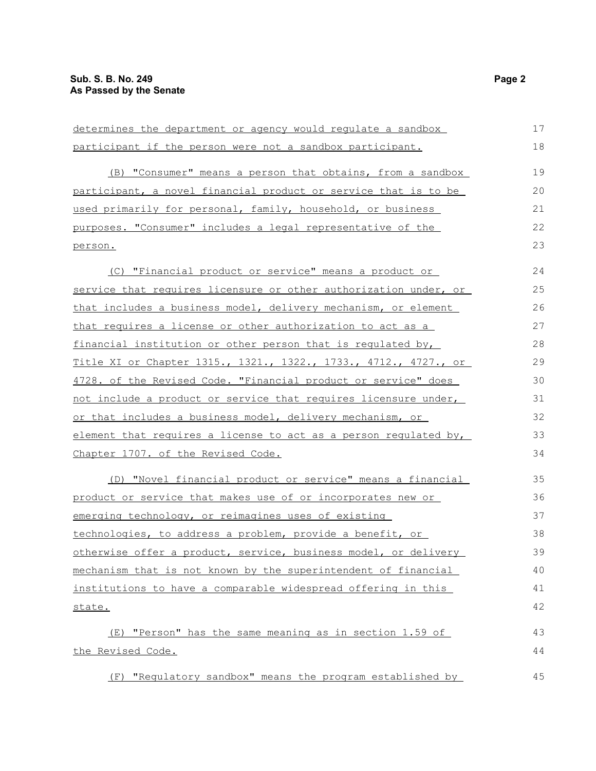| determines the department or agency would regulate a sandbox     | 17 |
|------------------------------------------------------------------|----|
| participant if the person were not a sandbox participant.        | 18 |
| (B) "Consumer" means a person that obtains, from a sandbox       | 19 |
| participant, a novel financial product or service that is to be  | 20 |
| used primarily for personal, family, household, or business      | 21 |
| purposes. "Consumer" includes a legal representative of the      | 22 |
| person.                                                          | 23 |
| (C) "Financial product or service" means a product or            | 24 |
| service that requires licensure or other authorization under, or | 25 |
| that includes a business model, delivery mechanism, or element   | 26 |
| that requires a license or other authorization to act as a       | 27 |
| financial institution or other person that is regulated by,      | 28 |
| Title XI or Chapter 1315., 1321., 1322., 1733., 4712., 4727., or | 29 |
| 4728. of the Revised Code. "Financial product or service" does   | 30 |
| not include a product or service that requires licensure under,  | 31 |
| or that includes a business model, delivery mechanism, or        | 32 |
| element that requires a license to act as a person regulated by, | 33 |
| Chapter 1707. of the Revised Code.                               | 34 |
| (D) "Novel financial product or service" means a financial       | 35 |
| product or service that makes use of or incorporates new or      | 36 |
| emerging technology, or reimagines uses of existing              | 37 |
| technologies, to address a problem, provide a benefit, or        | 38 |
| otherwise offer a product, service, business model, or delivery  | 39 |
| mechanism that is not known by the superintendent of financial   | 40 |
| institutions to have a comparable widespread offering in this    | 41 |
| state.                                                           | 42 |
| (E) "Person" has the same meaning as in section 1.59 of          | 43 |
| the Revised Code.                                                | 44 |
| "Regulatory sandbox" means the program established by<br>(F)     | 45 |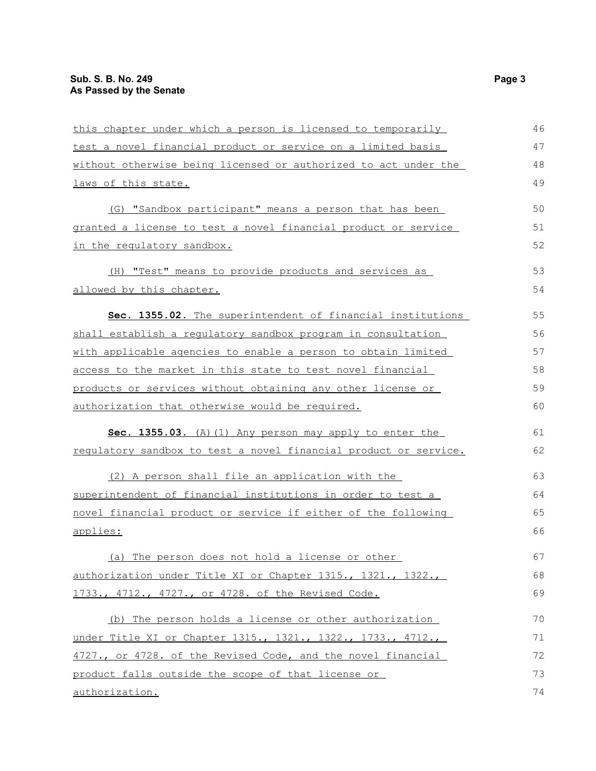| this chapter under which a person is licensed to temporarily     | 46 |
|------------------------------------------------------------------|----|
| test a novel financial product or service on a limited basis     | 47 |
| without otherwise being licensed or authorized to act under the  | 48 |
| laws of this state.                                              | 49 |
| (G) "Sandbox participant" means a person that has been           | 50 |
| granted a license to test a novel financial product or service   | 51 |
| in the requlatory sandbox.                                       | 52 |
| (H) "Test" means to provide products and services as             | 53 |
| allowed by this chapter.                                         | 54 |
| Sec. 1355.02. The superintendent of financial institutions       | 55 |
| shall establish a requlatory sandbox program in consultation     | 56 |
| with applicable agencies to enable a person to obtain limited    | 57 |
| access to the market in this state to test novel financial       | 58 |
| products or services without obtaining any other license or      | 59 |
| authorization that otherwise would be required.                  | 60 |
| Sec. 1355.03. (A) (1) Any person may apply to enter the          | 61 |
| requlatory sandbox to test a novel financial product or service. | 62 |
| (2) A person shall file an application with the                  | 63 |
| superintendent of financial institutions in order to test a      | 64 |
| novel financial product or service if either of the following    | 65 |
| applies:                                                         | 66 |
| (a) The person does not hold a license or other                  | 67 |
| authorization under Title XI or Chapter 1315., 1321., 1322.,     | 68 |
| 1733., 4712., 4727., or 4728. of the Revised Code.               | 69 |
| (b) The person holds a license or other authorization            | 70 |
| under Title XI or Chapter 1315., 1321., 1322., 1733., 4712.,     | 71 |
| 4727., or 4728. of the Revised Code, and the novel financial     | 72 |
| product falls outside the scope of that license or               | 73 |
| authorization.                                                   | 74 |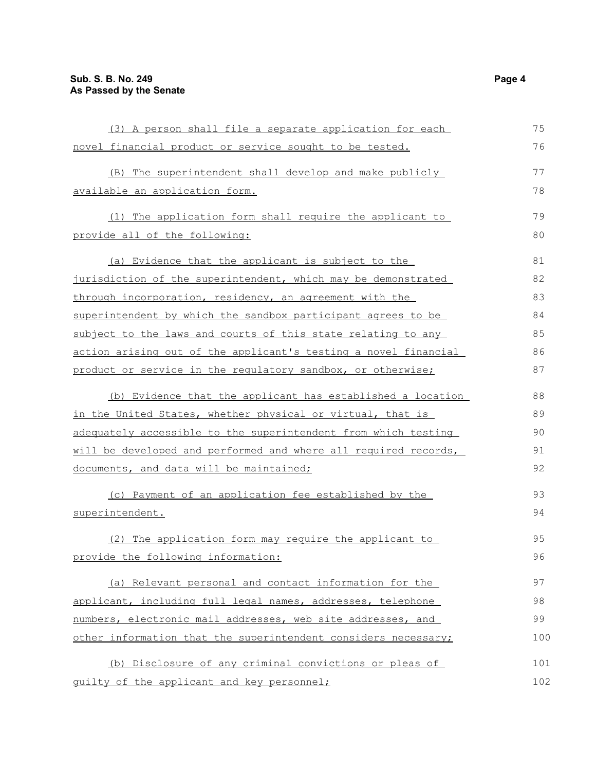| (3) A person shall file a separate application for each         | 75  |
|-----------------------------------------------------------------|-----|
| novel financial product or service sought to be tested.         | 76  |
| (B) The superintendent shall develop and make publicly          | 77  |
| available an application form.                                  | 78  |
| (1) The application form shall require the applicant to         | 79  |
| provide all of the following:                                   | 80  |
| (a) Evidence that the applicant is subject to the               | 81  |
| jurisdiction of the superintendent, which may be demonstrated   | 82  |
| through incorporation, residency, an agreement with the         | 83  |
| superintendent by which the sandbox participant agrees to be    | 84  |
| subject to the laws and courts of this state relating to any    | 85  |
| action arising out of the applicant's testing a novel financial | 86  |
| product or service in the regulatory sandbox, or otherwise;     | 87  |
| (b) Evidence that the applicant has established a location      | 88  |
| in the United States, whether physical or virtual, that is      | 89  |
| adequately accessible to the superintendent from which testing  | 90  |
| will be developed and performed and where all required records, | 91  |
| documents, and data will be maintained;                         | 92  |
| (c) Payment of an application fee established by the            | 93  |
| superintendent.                                                 | 94  |
| (2) The application form may require the applicant to           | 95  |
| provide the following information:                              | 96  |
| (a) Relevant personal and contact information for the           | 97  |
| applicant, including full legal names, addresses, telephone     | 98  |
| numbers, electronic mail addresses, web site addresses, and     | 99  |
| other information that the superintendent considers necessary;  | 100 |
| (b) Disclosure of any criminal convictions or pleas of          | 101 |
| quilty of the applicant and key personnel;                      | 102 |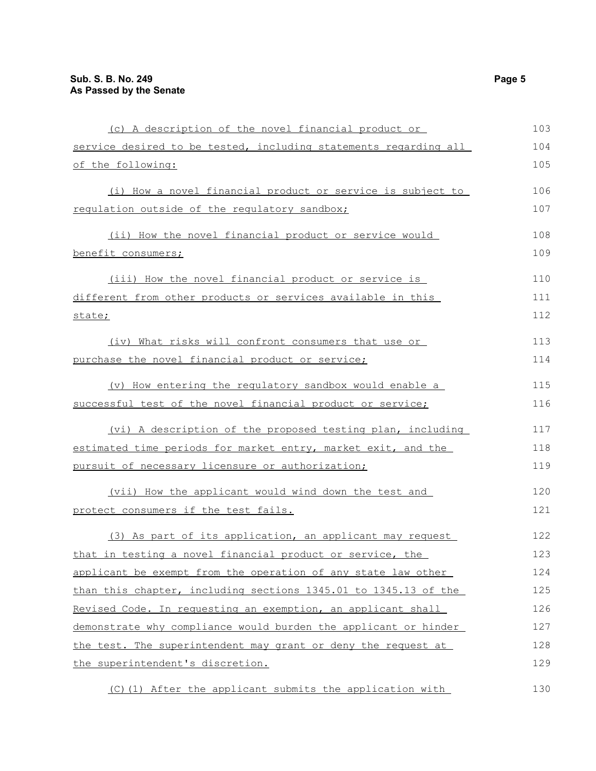| (c) A description of the novel financial product or              | 103 |
|------------------------------------------------------------------|-----|
| service desired to be tested, including statements regarding all | 104 |
| of the following:                                                | 105 |
| (i) How a novel financial product or service is subject to       | 106 |
| regulation outside of the regulatory sandbox;                    | 107 |
| (ii) How the novel financial product or service would            | 108 |
| benefit consumers;                                               | 109 |
| (iii) How the novel financial product or service is              | 110 |
| different from other products or services available in this      | 111 |
| state;                                                           | 112 |
| (iv) What risks will confront consumers that use or              | 113 |
| purchase the novel financial product or service;                 | 114 |
| (v) How entering the regulatory sandbox would enable a           | 115 |
| successful test of the novel financial product or service;       | 116 |
| (vi) A description of the proposed testing plan, including       | 117 |
| estimated time periods for market entry, market exit, and the    | 118 |
| pursuit of necessary licensure or authorization;                 | 119 |
| (vii) How the applicant would wind down the test and             | 120 |
| protect consumers if the test fails.                             | 121 |
| (3) As part of its application, an applicant may request         | 122 |
| that in testing a novel financial product or service, the        | 123 |
| applicant be exempt from the operation of any state law other    | 124 |
| than this chapter, including sections 1345.01 to 1345.13 of the  | 125 |
| Revised Code. In requesting an exemption, an applicant shall     | 126 |
| demonstrate why compliance would burden the applicant or hinder  | 127 |
| the test. The superintendent may grant or deny the request at    | 128 |
| the superintendent's discretion.                                 | 129 |
| (C)(1) After the applicant submits the application with          | 130 |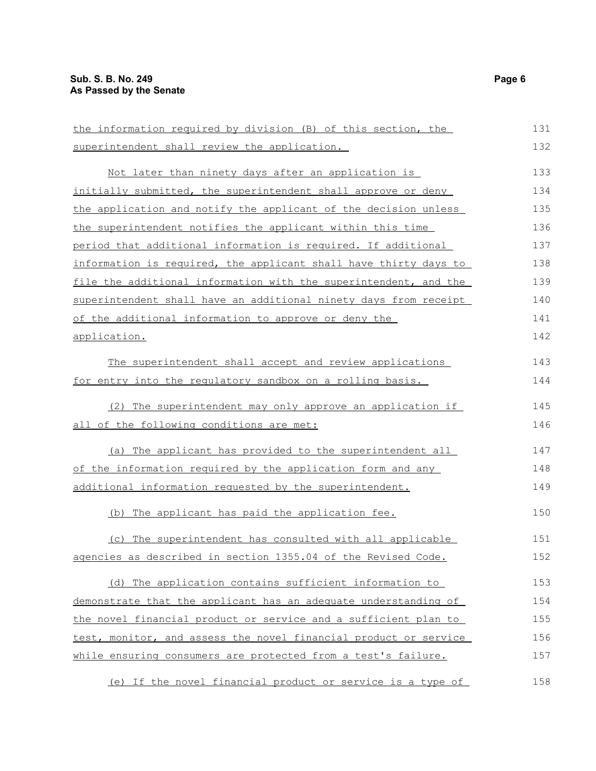the information required by division (B) of this section, the superintendent shall review the application. Not later than ninety days after an application is initially submitted, the superintendent shall approve or deny the application and notify the applicant of the decision unless the superintendent notifies the applicant within this time period that additional information is required. If additional information is required, the applicant shall have thirty days to file the additional information with the superintendent, and the superintendent shall have an additional ninety days from receipt of the additional information to approve or deny the application. The superintendent shall accept and review applications for entry into the regulatory sandbox on a rolling basis. (2) The superintendent may only approve an application if all of the following conditions are met: (a) The applicant has provided to the superintendent all of the information required by the application form and any additional information requested by the superintendent. (b) The applicant has paid the application fee. (c) The superintendent has consulted with all applicable agencies as described in section 1355.04 of the Revised Code. (d) The application contains sufficient information to demonstrate that the applicant has an adequate understanding of the novel financial product or service and a sufficient plan to test, monitor, and assess the novel financial product or service while ensuring consumers are protected from a test's failure. (e) If the novel financial product or service is a type of 131 132 133 134 135 136 137 138 139 140 141 142 143 144 145 146 147 148 149 150 151 152 153 154 155 156 157 158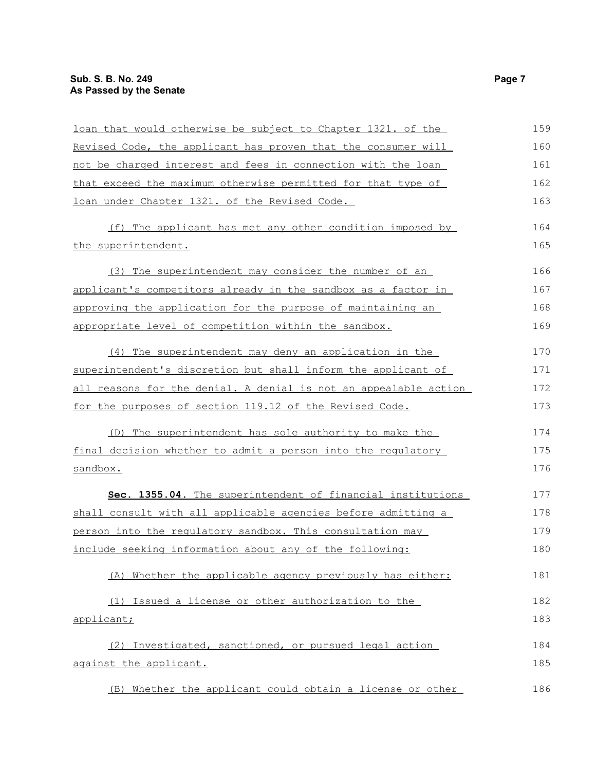| loan that would otherwise be subject to Chapter 1321. of the     | 159 |
|------------------------------------------------------------------|-----|
| Revised Code, the applicant has proven that the consumer will    | 160 |
| not be charged interest and fees in connection with the loan     | 161 |
| that exceed the maximum otherwise permitted for that type of     | 162 |
| loan under Chapter 1321. of the Revised Code.                    | 163 |
| (f) The applicant has met any other condition imposed by         | 164 |
| the superintendent.                                              | 165 |
| (3) The superintendent may consider the number of an             | 166 |
| applicant's competitors already in the sandbox as a factor in    | 167 |
| approving the application for the purpose of maintaining an      | 168 |
| appropriate level of competition within the sandbox.             | 169 |
| (4) The superintendent may deny an application in the            | 170 |
| superintendent's discretion but shall inform the applicant of    | 171 |
| all reasons for the denial. A denial is not an appealable action | 172 |
| for the purposes of section 119.12 of the Revised Code.          | 173 |
| (D) The superintendent has sole authority to make the            | 174 |
| final decision whether to admit a person into the regulatory     | 175 |
| <u>sandbox.</u>                                                  | 176 |
| Sec. 1355.04. The superintendent of financial institutions       | 177 |
| shall consult with all applicable agencies before admitting a    | 178 |
| person into the regulatory sandbox. This consultation may        | 179 |
| include seeking information about any of the following:          | 180 |
| (A) Whether the applicable agency previously has either:         | 181 |
| (1) Issued a license or other authorization to the               | 182 |
| applicant;                                                       | 183 |
| (2) Investigated, sanctioned, or pursued legal action            | 184 |
| against the applicant.                                           | 185 |
| (B) Whether the applicant could obtain a license or other        | 186 |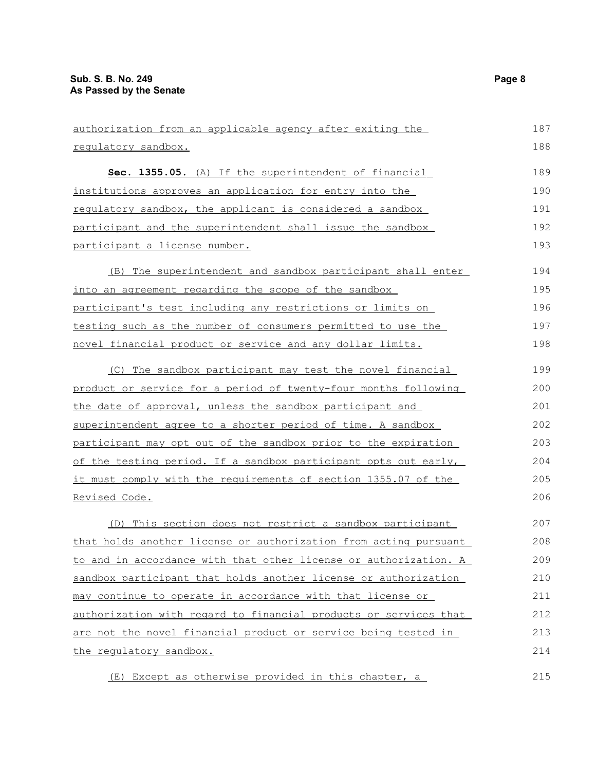| authorization from an applicable agency after exiting the        | 187 |
|------------------------------------------------------------------|-----|
| requlatory sandbox.                                              | 188 |
| Sec. 1355.05. (A) If the superintendent of financial             | 189 |
| institutions approves an application for entry into the          | 190 |
| requlatory sandbox, the applicant is considered a sandbox        | 191 |
| participant and the superintendent shall issue the sandbox       | 192 |
| participant a license number.                                    | 193 |
| (B) The superintendent and sandbox participant shall enter       | 194 |
| <u>into an agreement regarding the scope of the sandbox </u>     | 195 |
| participant's test including any restrictions or limits on       | 196 |
| testing such as the number of consumers permitted to use the     | 197 |
| novel financial product or service and any dollar limits.        | 198 |
| (C) The sandbox participant may test the novel financial         | 199 |
| product or service for a period of twenty-four months following  | 200 |
| the date of approval, unless the sandbox participant and         | 201 |
| superintendent agree to a shorter period of time. A sandbox      | 202 |
| participant may opt out of the sandbox prior to the expiration   | 203 |
| of the testing period. If a sandbox participant opts out early,  | 204 |
| it must comply with the requirements of section 1355.07 of the   | 205 |
| <u>Revised Code.</u>                                             | 206 |
| (D) This section does not restrict a sandbox participant         | 207 |
| that holds another license or authorization from acting pursuant | 208 |
| to and in accordance with that other license or authorization. A | 209 |
| sandbox participant that holds another license or authorization  | 210 |
| may continue to operate in accordance with that license or       | 211 |
| authorization with regard to financial products or services that | 212 |
| are not the novel financial product or service being tested in   | 213 |
| the regulatory sandbox.                                          | 214 |
| (E) Except as otherwise provided in this chapter, a              | 215 |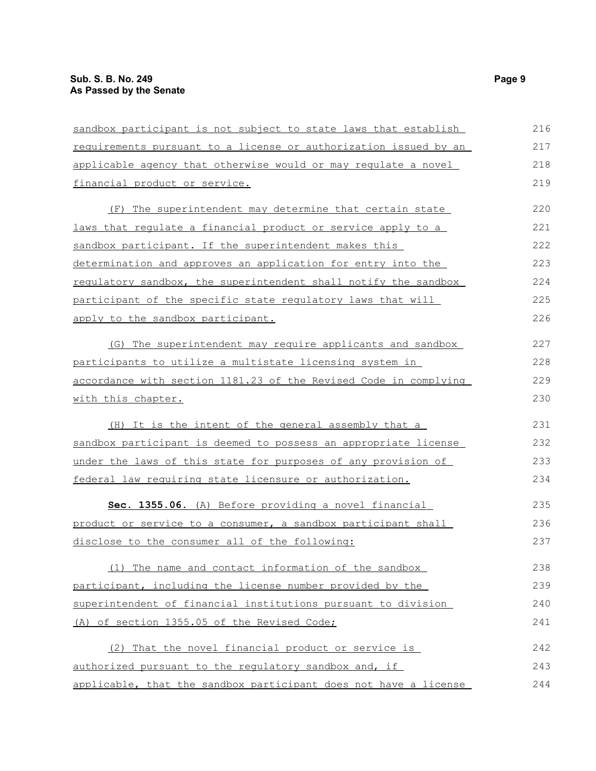| sandbox participant is not subject to state laws that establish  | 216 |
|------------------------------------------------------------------|-----|
| requirements pursuant to a license or authorization issued by an | 217 |
| applicable agency that otherwise would or may regulate a novel   | 218 |
| financial product or service.                                    | 219 |
| (F) The superintendent may determine that certain state          | 220 |
| laws that regulate a financial product or service apply to a     | 221 |
| sandbox participant. If the superintendent makes this            | 222 |
| determination and approves an application for entry into the     | 223 |
| requlatory sandbox, the superintendent shall notify the sandbox  | 224 |
| participant of the specific state regulatory laws that will      | 225 |
| apply to the sandbox participant.                                | 226 |
| (G) The superintendent may require applicants and sandbox        | 227 |
| participants to utilize a multistate licensing system in         | 228 |
| accordance with section 1181.23 of the Revised Code in complying | 229 |
| with this chapter.                                               | 230 |
| (H) It is the intent of the general assembly that a              | 231 |
| sandbox participant is deemed to possess an appropriate license  | 232 |
| under the laws of this state for purposes of any provision of    | 233 |
| federal law requiring state licensure or authorization.          | 234 |
| Sec. 1355.06. (A) Before providing a novel financial             | 235 |
| product or service to a consumer, a sandbox participant shall    | 236 |
| disclose to the consumer all of the following:                   | 237 |
| (1) The name and contact information of the sandbox              | 238 |
| participant, including the license number provided by the        | 239 |
| superintendent of financial institutions pursuant to division    | 240 |
| (A) of section 1355.05 of the Revised Code;                      | 241 |
| (2) That the novel financial product or service is               | 242 |
| authorized pursuant to the regulatory sandbox and, if            | 243 |
| applicable, that the sandbox participant does not have a license | 244 |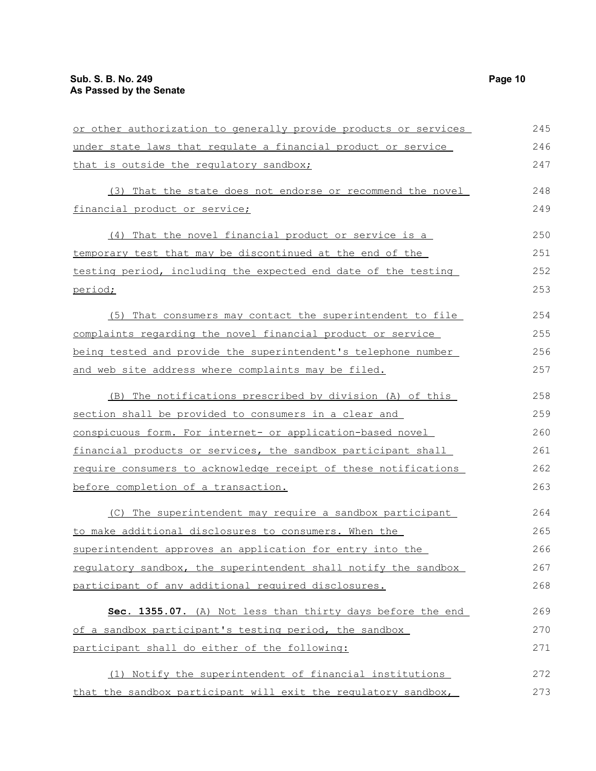| or other authorization to generally provide products or services | 245 |
|------------------------------------------------------------------|-----|
| under state laws that requlate a financial product or service    | 246 |
| that is outside the regulatory sandbox;                          | 247 |
| (3) That the state does not endorse or recommend the novel       | 248 |
| financial product or service;                                    | 249 |
| That the novel financial product or service is a<br>(4)          | 250 |
| temporary test that may be discontinued at the end of the        | 251 |
| testing period, including the expected end date of the testing   | 252 |
| period;                                                          | 253 |
| (5) That consumers may contact the superintendent to file        | 254 |
| complaints regarding the novel financial product or service      | 255 |
| being tested and provide the superintendent's telephone number   | 256 |
| and web site address where complaints may be filed.              | 257 |
| (B) The notifications prescribed by division (A) of this         | 258 |
| section shall be provided to consumers in a clear and            | 259 |
| conspicuous form. For internet- or application-based novel       | 260 |
| financial products or services, the sandbox participant shall    | 261 |
| require consumers to acknowledge receipt of these notifications  | 262 |
| before completion of a transaction.                              | 263 |
| (C) The superintendent may require a sandbox participant         | 264 |
| to make additional disclosures to consumers. When the            | 265 |
| superintendent approves an application for entry into the        | 266 |
| regulatory sandbox, the superintendent shall notify the sandbox  | 267 |
| participant of any additional required disclosures.              | 268 |
| Sec. 1355.07. (A) Not less than thirty days before the end       | 269 |
| of a sandbox participant's testing period, the sandbox           | 270 |
| participant shall do either of the following:                    | 271 |
| (1) Notify the superintendent of financial institutions          | 272 |
| that the sandbox participant will exit the regulatory sandbox,   | 273 |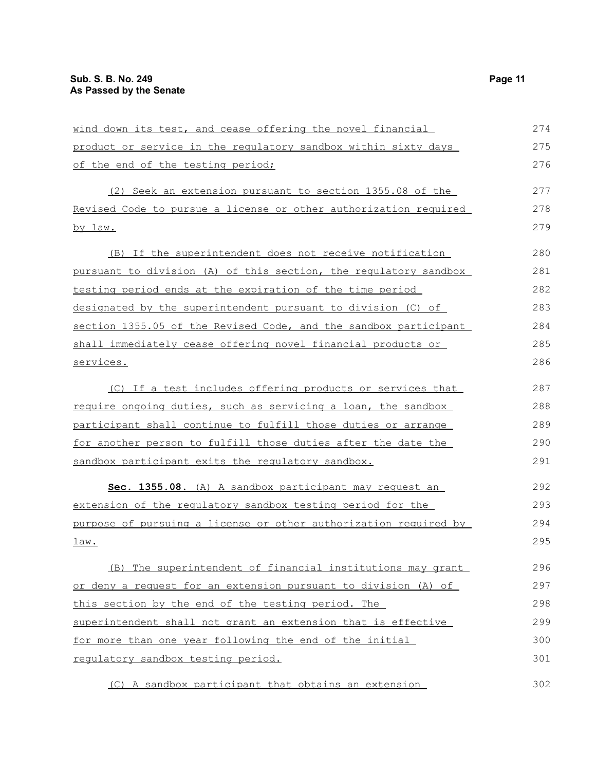| wind down its test, and cease offering the novel financial             | 274 |
|------------------------------------------------------------------------|-----|
| <u>product or service in the requlatory sandbox within sixty days </u> | 275 |
| of the end of the testing period;                                      | 276 |
| (2) Seek an extension pursuant to section 1355.08 of the               | 277 |
| Revised Code to pursue a license or other authorization required       | 278 |
| <u>by law.</u>                                                         | 279 |
| (B) If the superintendent does not receive notification                | 280 |
| pursuant to division (A) of this section, the requlatory sandbox       | 281 |
| testing period ends at the expiration of the time period               | 282 |
| designated by the superintendent pursuant to division (C) of           | 283 |
| section 1355.05 of the Revised Code, and the sandbox participant       | 284 |
| shall immediately cease offering novel financial products or           | 285 |
| services.                                                              | 286 |
| (C) If a test includes offering products or services that              | 287 |
| require ongoing duties, such as servicing a loan, the sandbox          | 288 |
| participant shall continue to fulfill those duties or arrange          | 289 |
| for another person to fulfill those duties after the date the          | 290 |
| sandbox participant exits the regulatory sandbox.                      | 291 |
| Sec. 1355.08. (A) A sandbox participant may request an                 | 292 |
| extension of the regulatory sandbox testing period for the             | 293 |
| purpose of pursuing a license or other authorization required by       | 294 |
| law.                                                                   | 295 |
| (B) The superintendent of financial institutions may grant             | 296 |
| or deny a request for an extension pursuant to division (A) of         | 297 |
| this section by the end of the testing period. The                     | 298 |
| superintendent shall not grant an extension that is effective          | 299 |
| for more than one year following the end of the initial                | 300 |
| requlatory sandbox testing period.                                     | 301 |
| (C) A sandbox participant that obtains an extension                    | 302 |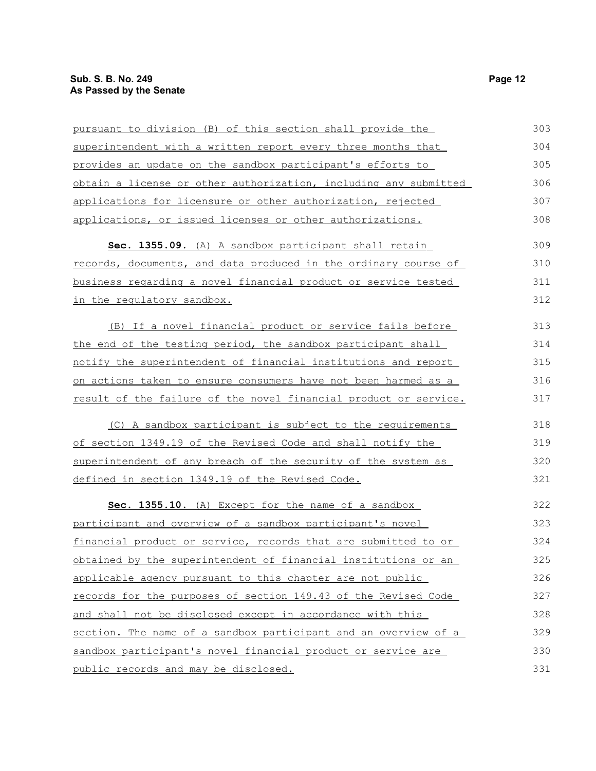| pursuant to division (B) of this section shall provide the       | 303 |
|------------------------------------------------------------------|-----|
| superintendent with a written report every three months that     | 304 |
| provides an update on the sandbox participant's efforts to       | 305 |
| obtain a license or other authorization, including any submitted | 306 |
| applications for licensure or other authorization, rejected      | 307 |
| applications, or issued licenses or other authorizations.        | 308 |
| Sec. 1355.09. (A) A sandbox participant shall retain             | 309 |
| records, documents, and data produced in the ordinary course of  | 310 |
| business regarding a novel financial product or service tested   | 311 |
| in the regulatory sandbox.                                       | 312 |
| (B) If a novel financial product or service fails before         | 313 |
| the end of the testing period, the sandbox participant shall     | 314 |
| notify the superintendent of financial institutions and report   | 315 |
| on actions taken to ensure consumers have not been harmed as a   | 316 |
| result of the failure of the novel financial product or service. | 317 |
| (C) A sandbox participant is subject to the requirements         | 318 |
| of section 1349.19 of the Revised Code and shall notify the      | 319 |
| superintendent of any breach of the security of the system as    | 320 |
| defined in section 1349.19 of the Revised Code.                  | 321 |
| Sec. 1355.10. (A) Except for the name of a sandbox               | 322 |
| participant and overview of a sandbox participant's novel        | 323 |
| financial product or service, records that are submitted to or   | 324 |
| obtained by the superintendent of financial institutions or an   | 325 |
| applicable agency pursuant to this chapter are not public        | 326 |
| records for the purposes of section 149.43 of the Revised Code   | 327 |
| and shall not be disclosed except in accordance with this        | 328 |
| section. The name of a sandbox participant and an overview of a  | 329 |
| sandbox participant's novel financial product or service are     | 330 |
| public records and may be disclosed.                             | 331 |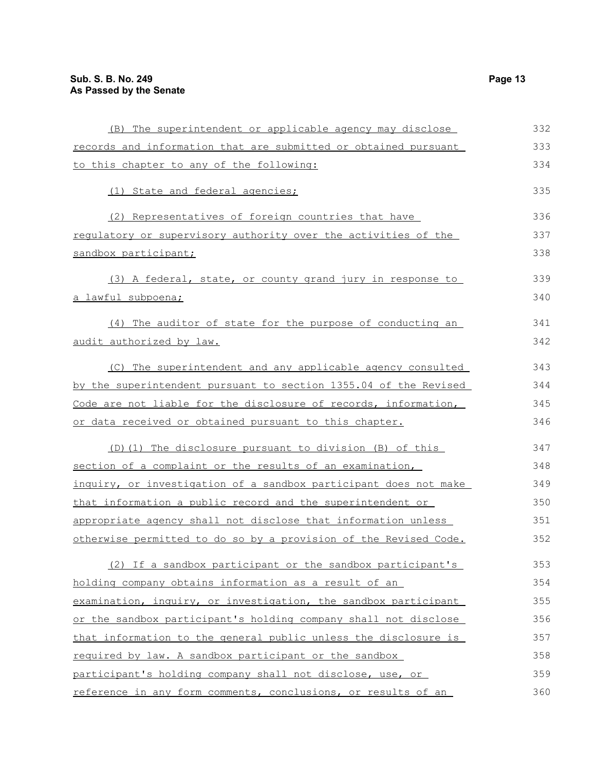| (B) The superintendent or applicable agency may disclose         | 332 |
|------------------------------------------------------------------|-----|
| records and information that are submitted or obtained pursuant  | 333 |
| to this chapter to any of the following:                         | 334 |
| (1) State and federal agencies;                                  | 335 |
| (2) Representatives of foreign countries that have               | 336 |
| regulatory or supervisory authority over the activities of the   | 337 |
| sandbox participant;                                             | 338 |
| (3) A federal, state, or county grand jury in response to        | 339 |
| <u>a lawful subpoena;</u>                                        | 340 |
| (4) The auditor of state for the purpose of conducting an        | 341 |
| audit authorized by law.                                         | 342 |
| (C) The superintendent and any applicable agency consulted       | 343 |
| by the superintendent pursuant to section 1355.04 of the Revised | 344 |
| Code are not liable for the disclosure of records, information,  | 345 |
| or data received or obtained pursuant to this chapter.           | 346 |
| (D) (1) The disclosure pursuant to division (B) of this          | 347 |
| section of a complaint or the results of an examination,         | 348 |
| inquiry, or investigation of a sandbox participant does not make | 349 |
| that information a public record and the superintendent or       | 350 |
| appropriate agency shall not disclose that information unless    | 351 |
| otherwise permitted to do so by a provision of the Revised Code. | 352 |
| (2) If a sandbox participant or the sandbox participant's        | 353 |
| holding company obtains information as a result of an            | 354 |
| examination, inquiry, or investigation, the sandbox participant  | 355 |
| or the sandbox participant's holding company shall not disclose  | 356 |
| that information to the general public unless the disclosure is  | 357 |
| required by law. A sandbox participant or the sandbox            | 358 |
| participant's holding company shall not disclose, use, or        | 359 |
| reference in any form comments, conclusions, or results of an    | 360 |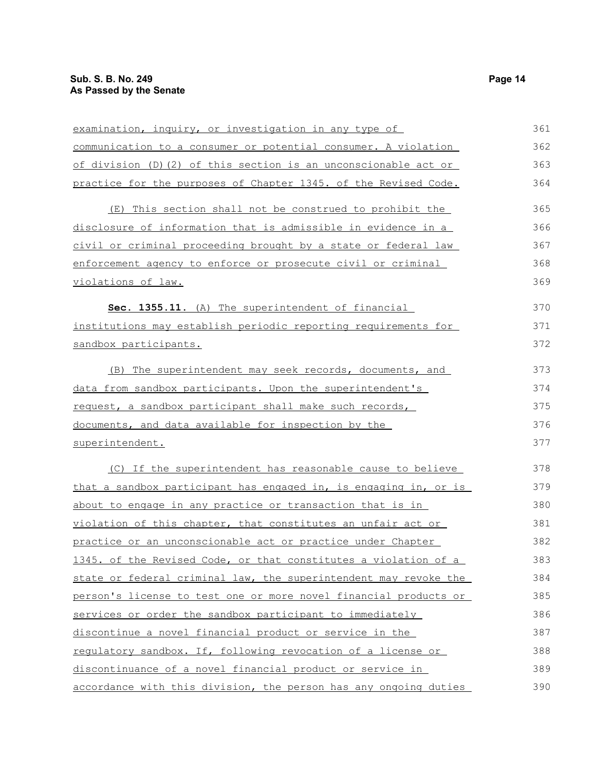| examination, inquiry, or investigation in any type of            | 361 |
|------------------------------------------------------------------|-----|
| communication to a consumer or potential consumer. A violation   | 362 |
| of division (D) (2) of this section is an unconscionable act or  | 363 |
| practice for the purposes of Chapter 1345. of the Revised Code.  | 364 |
| (E) This section shall not be construed to prohibit the          | 365 |
| disclosure of information that is admissible in evidence in a    | 366 |
| civil or criminal proceeding brought by a state or federal law   | 367 |
| enforcement agency to enforce or prosecute civil or criminal     | 368 |
| violations of law.                                               | 369 |
| Sec. 1355.11. (A) The superintendent of financial                | 370 |
| institutions may establish periodic reporting requirements for   | 371 |
| sandbox participants.                                            | 372 |
| (B) The superintendent may seek records, documents, and          | 373 |
| data from sandbox participants. Upon the superintendent's        | 374 |
| request, a sandbox participant shall make such records,          | 375 |
| documents, and data available for inspection by the              | 376 |
| superintendent.                                                  | 377 |
| (C) If the superintendent has reasonable cause to believe        | 378 |
| that a sandbox participant has engaged in, is engaging in, or is | 379 |
| about to engage in any practice or transaction that is in        | 380 |
| violation of this chapter, that constitutes an unfair act or     | 381 |
| practice or an unconscionable act or practice under Chapter      | 382 |
| 1345. of the Revised Code, or that constitutes a violation of a  | 383 |
| state or federal criminal law, the superintendent may revoke the | 384 |
| person's license to test one or more novel financial products or | 385 |
| services or order the sandbox participant to immediately         | 386 |
| discontinue a novel financial product or service in the          | 387 |
| requlatory sandbox. If, following revocation of a license or     | 388 |
| discontinuance of a novel financial product or service in        | 389 |
| accordance with this division, the person has any ongoing duties | 390 |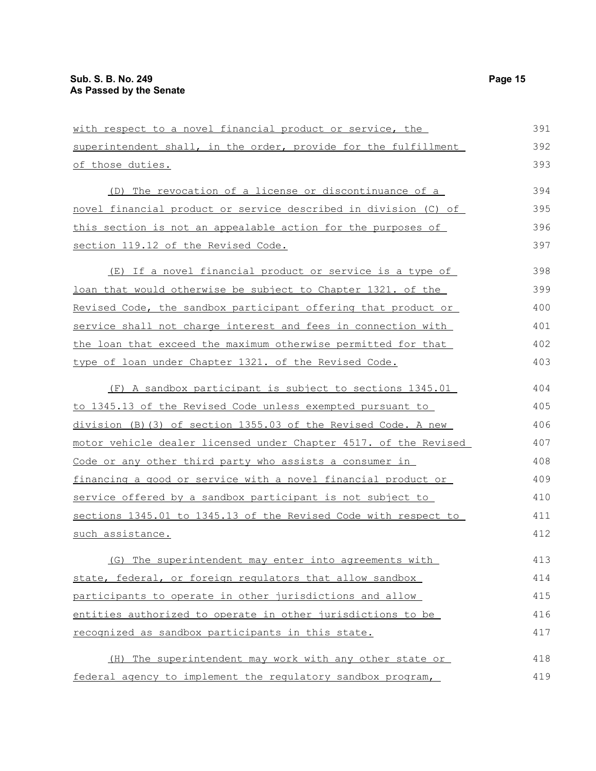| with respect to a novel financial product or service, the               | 391 |
|-------------------------------------------------------------------------|-----|
| superintendent shall, in the order, provide for the fulfillment         | 392 |
| of those duties.                                                        | 393 |
| (D) The revocation of a license or discontinuance of a                  | 394 |
| <u>novel financial product or service described in division (C) of </u> | 395 |
| this section is not an appealable action for the purposes of            | 396 |
| section 119.12 of the Revised Code.                                     | 397 |
| (E) If a novel financial product or service is a type of                | 398 |
| loan that would otherwise be subject to Chapter 1321. of the            | 399 |
| Revised Code, the sandbox participant offering that product or          | 400 |
| service shall not charge interest and fees in connection with           | 401 |
| the loan that exceed the maximum otherwise permitted for that           | 402 |
| <u>type of loan under Chapter 1321. of the Revised Code.</u>            | 403 |
| (F) A sandbox participant is subject to sections 1345.01                | 404 |
| to 1345.13 of the Revised Code unless exempted pursuant to              | 405 |
| division (B) (3) of section 1355.03 of the Revised Code. A new          | 406 |
| motor vehicle dealer licensed under Chapter 4517. of the Revised        | 407 |
| Code or any other third party who assists a consumer in                 | 408 |
| financing a good or service with a novel financial product or           | 409 |
| service offered by a sandbox participant is not subject to              | 410 |
| sections 1345.01 to 1345.13 of the Revised Code with respect to         | 411 |
| <u>such assistance.</u>                                                 | 412 |
| (G) The superintendent may enter into agreements with                   | 413 |
| state, federal, or foreign regulators that allow sandbox                | 414 |
| participants to operate in other jurisdictions and allow                | 415 |
| entities authorized to operate in other jurisdictions to be             | 416 |
| recognized as sandbox participants in this state.                       | 417 |
| (H) The superintendent may work with any other state or                 | 418 |
| federal agency to implement the regulatory sandbox program,             | 419 |